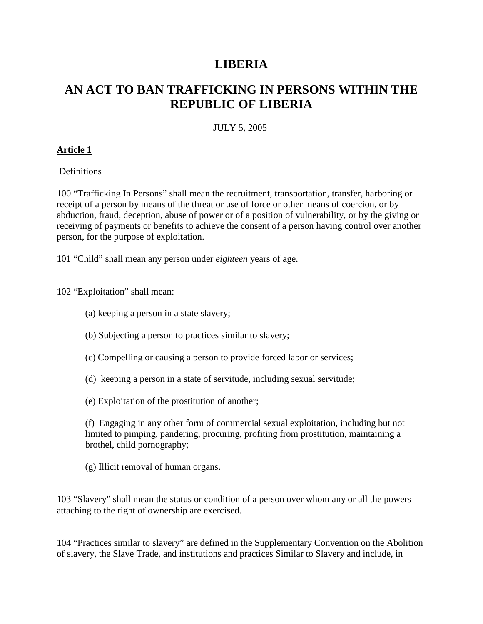# **LIBERIA**

# **AN ACT TO BAN TRAFFICKING IN PERSONS WITHIN THE REPUBLIC OF LIBERIA**

#### JULY 5, 2005

#### **Article 1**

Definitions

100 "Trafficking In Persons" shall mean the recruitment, transportation, transfer, harboring or receipt of a person by means of the threat or use of force or other means of coercion, or by abduction, fraud, deception, abuse of power or of a position of vulnerability, or by the giving or receiving of payments or benefits to achieve the consent of a person having control over another person, for the purpose of exploitation.

101 "Child" shall mean any person under *eighteen* years of age.

102 "Exploitation" shall mean:

- (a) keeping a person in a state slavery;
- (b) Subjecting a person to practices similar to slavery;
- (c) Compelling or causing a person to provide forced labor or services;
- (d) keeping a person in a state of servitude, including sexual servitude;
- (e) Exploitation of the prostitution of another;

(f) Engaging in any other form of commercial sexual exploitation, including but not limited to pimping, pandering, procuring, profiting from prostitution, maintaining a brothel, child pornography;

(g) Illicit removal of human organs.

103 "Slavery" shall mean the status or condition of a person over whom any or all the powers attaching to the right of ownership are exercised.

104 "Practices similar to slavery" are defined in the Supplementary Convention on the Abolition of slavery, the Slave Trade, and institutions and practices Similar to Slavery and include, in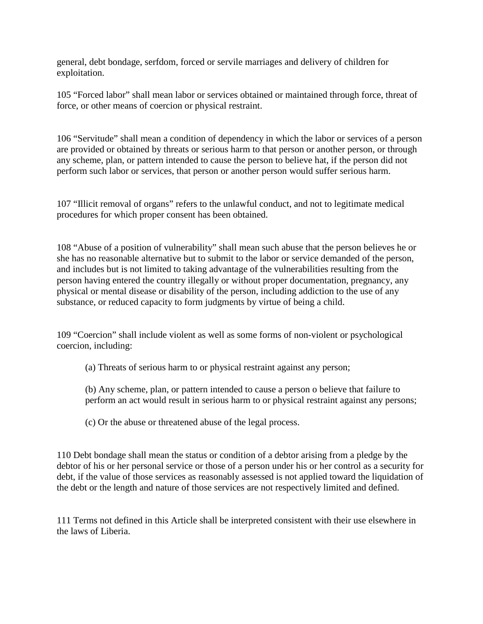general, debt bondage, serfdom, forced or servile marriages and delivery of children for exploitation.

105 "Forced labor" shall mean labor or services obtained or maintained through force, threat of force, or other means of coercion or physical restraint.

106 "Servitude" shall mean a condition of dependency in which the labor or services of a person are provided or obtained by threats or serious harm to that person or another person, or through any scheme, plan, or pattern intended to cause the person to believe hat, if the person did not perform such labor or services, that person or another person would suffer serious harm.

107 "Illicit removal of organs" refers to the unlawful conduct, and not to legitimate medical procedures for which proper consent has been obtained.

108 "Abuse of a position of vulnerability" shall mean such abuse that the person believes he or she has no reasonable alternative but to submit to the labor or service demanded of the person, and includes but is not limited to taking advantage of the vulnerabilities resulting from the person having entered the country illegally or without proper documentation, pregnancy, any physical or mental disease or disability of the person, including addiction to the use of any substance, or reduced capacity to form judgments by virtue of being a child.

109 "Coercion" shall include violent as well as some forms of non-violent or psychological coercion, including:

(a) Threats of serious harm to or physical restraint against any person;

- (b) Any scheme, plan, or pattern intended to cause a person o believe that failure to perform an act would result in serious harm to or physical restraint against any persons;
- (c) Or the abuse or threatened abuse of the legal process.

110 Debt bondage shall mean the status or condition of a debtor arising from a pledge by the debtor of his or her personal service or those of a person under his or her control as a security for debt, if the value of those services as reasonably assessed is not applied toward the liquidation of the debt or the length and nature of those services are not respectively limited and defined.

111 Terms not defined in this Article shall be interpreted consistent with their use elsewhere in the laws of Liberia.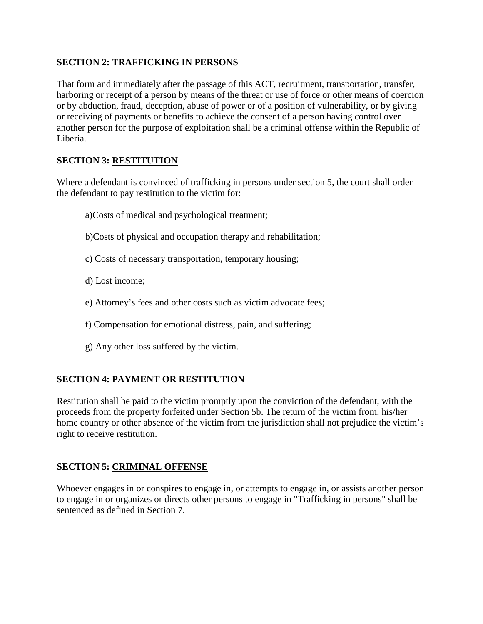## **SECTION 2: TRAFFICKING IN PERSONS**

That form and immediately after the passage of this ACT, recruitment, transportation, transfer, harboring or receipt of a person by means of the threat or use of force or other means of coercion or by abduction, fraud, deception, abuse of power or of a position of vulnerability, or by giving or receiving of payments or benefits to achieve the consent of a person having control over another person for the purpose of exploitation shall be a criminal offense within the Republic of Liberia.

## **SECTION 3: RESTITUTION**

Where a defendant is convinced of trafficking in persons under section 5, the court shall order the defendant to pay restitution to the victim for:

- a)Costs of medical and psychological treatment;
- b)Costs of physical and occupation therapy and rehabilitation;
- c) Costs of necessary transportation, temporary housing;
- d) Lost income;
- e) Attorney's fees and other costs such as victim advocate fees;
- f) Compensation for emotional distress, pain, and suffering;
- g) Any other loss suffered by the victim.

#### **SECTION 4: PAYMENT OR RESTITUTION**

Restitution shall be paid to the victim promptly upon the conviction of the defendant, with the proceeds from the property forfeited under Section 5b. The return of the victim from. his/her home country or other absence of the victim from the jurisdiction shall not prejudice the victim's right to receive restitution.

#### **SECTION 5: CRIMINAL OFFENSE**

Whoever engages in or conspires to engage in, or attempts to engage in, or assists another person to engage in or organizes or directs other persons to engage in "Trafficking in persons" shall be sentenced as defined in Section 7.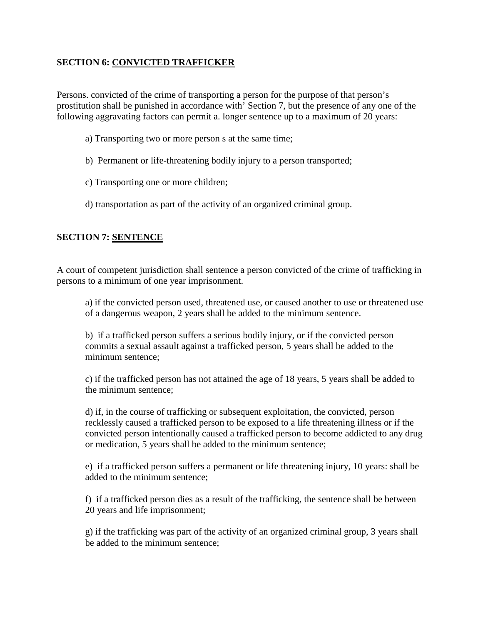## **SECTION 6: CONVICTED TRAFFICKER**

Persons. convicted of the crime of transporting a person for the purpose of that person's prostitution shall be punished in accordance with' Section 7, but the presence of any one of the following aggravating factors can permit a. longer sentence up to a maximum of 20 years:

- a) Transporting two or more person s at the same time;
- b) Permanent or life-threatening bodily injury to a person transported;
- c) Transporting one or more children;
- d) transportation as part of the activity of an organized criminal group.

## **SECTION 7: SENTENCE**

A court of competent jurisdiction shall sentence a person convicted of the crime of trafficking in persons to a minimum of one year imprisonment.

a) if the convicted person used, threatened use, or caused another to use or threatened use of a dangerous weapon, 2 years shall be added to the minimum sentence.

b) if a trafficked person suffers a serious bodily injury, or if the convicted person commits a sexual assault against a trafficked person, 5 years shall be added to the minimum sentence;

c) if the trafficked person has not attained the age of 18 years, 5 years shall be added to the minimum sentence;

d) if, in the course of trafficking or subsequent exploitation, the convicted, person recklessly caused a trafficked person to be exposed to a life threatening illness or if the convicted person intentionally caused a trafficked person to become addicted to any drug or medication, 5 years shall be added to the minimum sentence;

e) if a trafficked person suffers a permanent or life threatening injury, 10 years: shall be added to the minimum sentence;

f) if a trafficked person dies as a result of the trafficking, the sentence shall be between 20 years and life imprisonment;

g) if the trafficking was part of the activity of an organized criminal group, 3 years shall be added to the minimum sentence;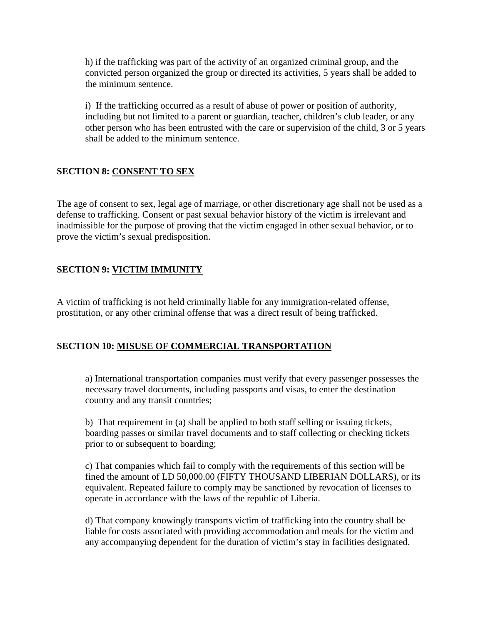h) if the trafficking was part of the activity of an organized criminal group, and the convicted person organized the group or directed its activities, 5 years shall be added to the minimum sentence.

i) If the trafficking occurred as a result of abuse of power or position of authority, including but not limited to a parent or guardian, teacher, children's club leader, or any other person who has been entrusted with the care or supervision of the child, 3 or 5 years shall be added to the minimum sentence.

## **SECTION 8: CONSENT TO SEX**

The age of consent to sex, legal age of marriage, or other discretionary age shall not be used as a defense to trafficking. Consent or past sexual behavior history of the victim is irrelevant and inadmissible for the purpose of proving that the victim engaged in other sexual behavior, or to prove the victim's sexual predisposition.

#### **SECTION 9: VICTIM IMMUNITY**

A victim of trafficking is not held criminally liable for any immigration-related offense, prostitution, or any other criminal offense that was a direct result of being trafficked.

#### **SECTION 10: MISUSE OF COMMERCIAL TRANSPORTATION**

a) International transportation companies must verify that every passenger possesses the necessary travel documents, including passports and visas, to enter the destination country and any transit countries;

b) That requirement in (a) shall be applied to both staff selling or issuing tickets, boarding passes or similar travel documents and to staff collecting or checking tickets prior to or subsequent to boarding;

c) That companies which fail to comply with the requirements of this section will be fined the amount of LD 50,000.00 (FIFTY THOUSAND LIBERIAN DOLLARS), or its equivalent. Repeated failure to comply may be sanctioned by revocation of licenses to operate in accordance with the laws of the republic of Liberia.

d) That company knowingly transports victim of trafficking into the country shall be liable for costs associated with providing accommodation and meals for the victim and any accompanying dependent for the duration of victim's stay in facilities designated.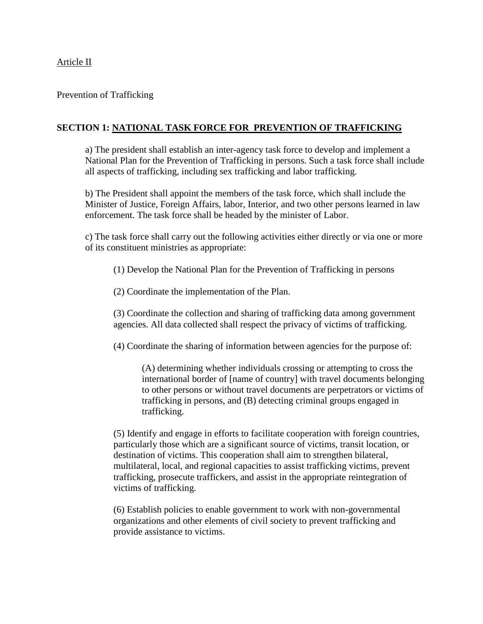#### Prevention of Trafficking

#### **SECTION 1: NATIONAL TASK FORCE FOR PREVENTION OF TRAFFICKING**

a) The president shall establish an inter-agency task force to develop and implement a National Plan for the Prevention of Trafficking in persons. Such a task force shall include all aspects of trafficking, including sex trafficking and labor trafficking.

b) The President shall appoint the members of the task force, which shall include the Minister of Justice, Foreign Affairs, labor, Interior, and two other persons learned in law enforcement. The task force shall be headed by the minister of Labor.

c) The task force shall carry out the following activities either directly or via one or more of its constituent ministries as appropriate:

(1) Develop the National Plan for the Prevention of Trafficking in persons

(2) Coordinate the implementation of the Plan.

(3) Coordinate the collection and sharing of trafficking data among government agencies. All data collected shall respect the privacy of victims of trafficking.

(4) Coordinate the sharing of information between agencies for the purpose of:

(A) determining whether individuals crossing or attempting to cross the international border of [name of country] with travel documents belonging to other persons or without travel documents are perpetrators or victims of trafficking in persons, and (B) detecting criminal groups engaged in trafficking.

(5) Identify and engage in efforts to facilitate cooperation with foreign countries, particularly those which are a significant source of victims, transit location, or destination of victims. This cooperation shall aim to strengthen bilateral, multilateral, local, and regional capacities to assist trafficking victims, prevent trafficking, prosecute traffickers, and assist in the appropriate reintegration of victims of trafficking.

(6) Establish policies to enable government to work with non-governmental organizations and other elements of civil society to prevent trafficking and provide assistance to victims.